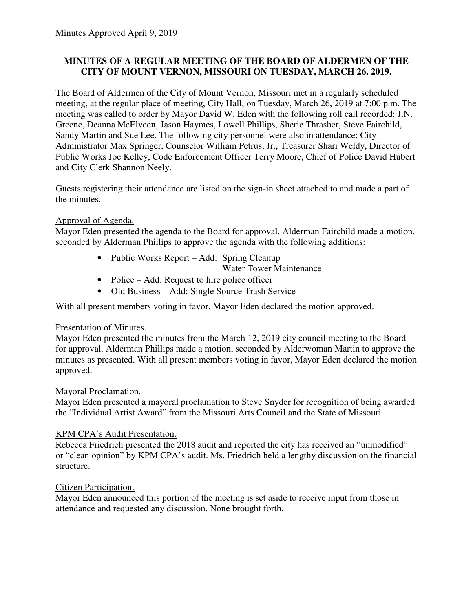# **MINUTES OF A REGULAR MEETING OF THE BOARD OF ALDERMEN OF THE CITY OF MOUNT VERNON, MISSOURI ON TUESDAY, MARCH 26. 2019.**

The Board of Aldermen of the City of Mount Vernon, Missouri met in a regularly scheduled meeting, at the regular place of meeting, City Hall, on Tuesday, March 26, 2019 at 7:00 p.m. The meeting was called to order by Mayor David W. Eden with the following roll call recorded: J.N. Greene, Deanna McElveen, Jason Haymes, Lowell Phillips, Sherie Thrasher, Steve Fairchild, Sandy Martin and Sue Lee. The following city personnel were also in attendance: City Administrator Max Springer, Counselor William Petrus, Jr., Treasurer Shari Weldy, Director of Public Works Joe Kelley, Code Enforcement Officer Terry Moore, Chief of Police David Hubert and City Clerk Shannon Neely.

Guests registering their attendance are listed on the sign-in sheet attached to and made a part of the minutes.

# Approval of Agenda.

Mayor Eden presented the agenda to the Board for approval. Alderman Fairchild made a motion, seconded by Alderman Phillips to approve the agenda with the following additions:

- Public Works Report Add: Spring Cleanup Water Tower Maintenance
- Police Add: Request to hire police officer
- Old Business Add: Single Source Trash Service

With all present members voting in favor, Mayor Eden declared the motion approved.

## Presentation of Minutes.

Mayor Eden presented the minutes from the March 12, 2019 city council meeting to the Board for approval. Alderman Phillips made a motion, seconded by Alderwoman Martin to approve the minutes as presented. With all present members voting in favor, Mayor Eden declared the motion approved.

## Mayoral Proclamation.

Mayor Eden presented a mayoral proclamation to Steve Snyder for recognition of being awarded the "Individual Artist Award" from the Missouri Arts Council and the State of Missouri.

## KPM CPA's Audit Presentation.

Rebecca Friedrich presented the 2018 audit and reported the city has received an "unmodified" or "clean opinion" by KPM CPA's audit. Ms. Friedrich held a lengthy discussion on the financial structure.

## Citizen Participation.

Mayor Eden announced this portion of the meeting is set aside to receive input from those in attendance and requested any discussion. None brought forth.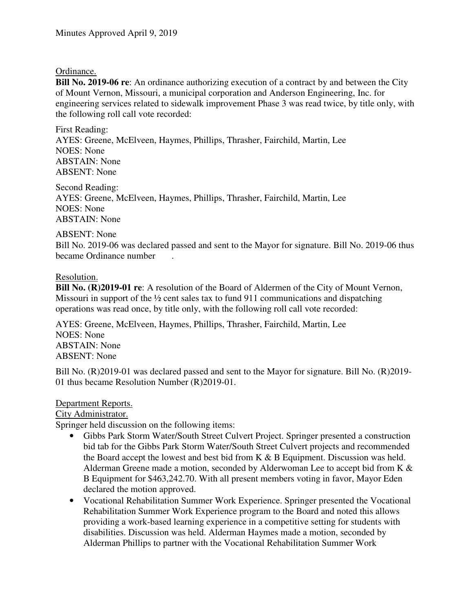## Ordinance.

**Bill No. 2019-06 re**: An ordinance authorizing execution of a contract by and between the City of Mount Vernon, Missouri, a municipal corporation and Anderson Engineering, Inc. for engineering services related to sidewalk improvement Phase 3 was read twice, by title only, with the following roll call vote recorded:

First Reading: AYES: Greene, McElveen, Haymes, Phillips, Thrasher, Fairchild, Martin, Lee NOES: None ABSTAIN: None ABSENT: None

Second Reading: AYES: Greene, McElveen, Haymes, Phillips, Thrasher, Fairchild, Martin, Lee NOES: None ABSTAIN: None

#### ABSENT: None

Bill No. 2019-06 was declared passed and sent to the Mayor for signature. Bill No. 2019-06 thus became Ordinance number .

#### Resolution.

**Bill No. (R)2019-01 re**: A resolution of the Board of Aldermen of the City of Mount Vernon, Missouri in support of the  $\frac{1}{2}$  cent sales tax to fund 911 communications and dispatching operations was read once, by title only, with the following roll call vote recorded:

AYES: Greene, McElveen, Haymes, Phillips, Thrasher, Fairchild, Martin, Lee NOES: None ABSTAIN: None ABSENT: None

Bill No. (R)2019-01 was declared passed and sent to the Mayor for signature. Bill No. (R)2019-01 thus became Resolution Number (R)2019-01.

#### Department Reports.

City Administrator.

Springer held discussion on the following items:

- Gibbs Park Storm Water/South Street Culvert Project. Springer presented a construction bid tab for the Gibbs Park Storm Water/South Street Culvert projects and recommended the Board accept the lowest and best bid from K & B Equipment. Discussion was held. Alderman Greene made a motion, seconded by Alderwoman Lee to accept bid from K & B Equipment for \$463,242.70. With all present members voting in favor, Mayor Eden declared the motion approved.
- Vocational Rehabilitation Summer Work Experience. Springer presented the Vocational Rehabilitation Summer Work Experience program to the Board and noted this allows providing a work-based learning experience in a competitive setting for students with disabilities. Discussion was held. Alderman Haymes made a motion, seconded by Alderman Phillips to partner with the Vocational Rehabilitation Summer Work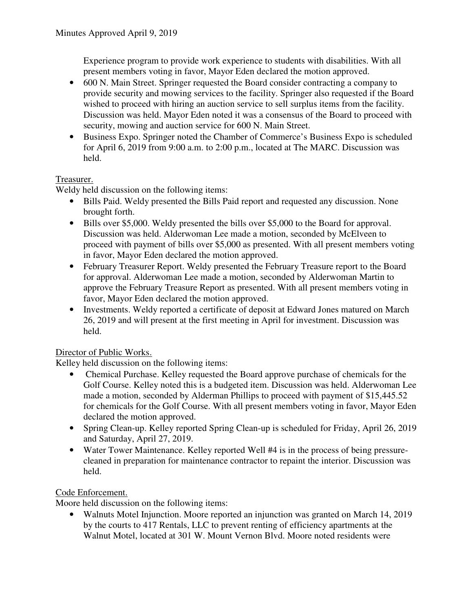Experience program to provide work experience to students with disabilities. With all present members voting in favor, Mayor Eden declared the motion approved.

- 600 N. Main Street. Springer requested the Board consider contracting a company to provide security and mowing services to the facility. Springer also requested if the Board wished to proceed with hiring an auction service to sell surplus items from the facility. Discussion was held. Mayor Eden noted it was a consensus of the Board to proceed with security, mowing and auction service for 600 N. Main Street.
- Business Expo. Springer noted the Chamber of Commerce's Business Expo is scheduled for April 6, 2019 from 9:00 a.m. to 2:00 p.m., located at The MARC. Discussion was held.

# Treasurer.

Weldy held discussion on the following items:

- Bills Paid. Weldy presented the Bills Paid report and requested any discussion. None brought forth.
- Bills over \$5,000. Weldy presented the bills over \$5,000 to the Board for approval. Discussion was held. Alderwoman Lee made a motion, seconded by McElveen to proceed with payment of bills over \$5,000 as presented. With all present members voting in favor, Mayor Eden declared the motion approved.
- February Treasurer Report. Weldy presented the February Treasure report to the Board for approval. Alderwoman Lee made a motion, seconded by Alderwoman Martin to approve the February Treasure Report as presented. With all present members voting in favor, Mayor Eden declared the motion approved.
- Investments. Weldy reported a certificate of deposit at Edward Jones matured on March 26, 2019 and will present at the first meeting in April for investment. Discussion was held.

# Director of Public Works.

Kelley held discussion on the following items:

- Chemical Purchase. Kelley requested the Board approve purchase of chemicals for the Golf Course. Kelley noted this is a budgeted item. Discussion was held. Alderwoman Lee made a motion, seconded by Alderman Phillips to proceed with payment of \$15,445.52 for chemicals for the Golf Course. With all present members voting in favor, Mayor Eden declared the motion approved.
- Spring Clean-up. Kelley reported Spring Clean-up is scheduled for Friday, April 26, 2019 and Saturday, April 27, 2019.
- Water Tower Maintenance. Kelley reported Well #4 is in the process of being pressurecleaned in preparation for maintenance contractor to repaint the interior. Discussion was held.

# Code Enforcement.

Moore held discussion on the following items:

• Walnuts Motel Injunction. Moore reported an injunction was granted on March 14, 2019 by the courts to 417 Rentals, LLC to prevent renting of efficiency apartments at the Walnut Motel, located at 301 W. Mount Vernon Blvd. Moore noted residents were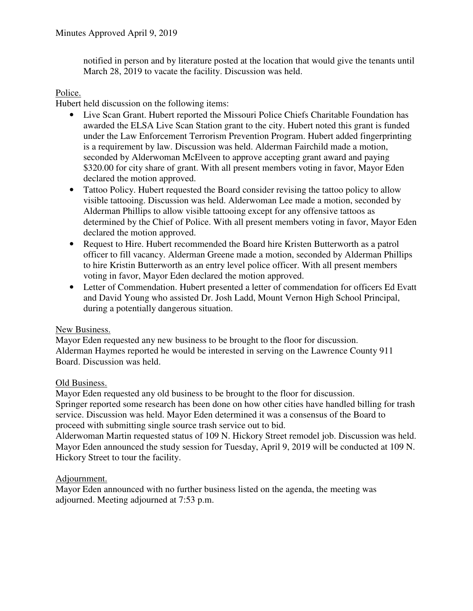notified in person and by literature posted at the location that would give the tenants until March 28, 2019 to vacate the facility. Discussion was held.

# Police.

Hubert held discussion on the following items:

- Live Scan Grant. Hubert reported the Missouri Police Chiefs Charitable Foundation has awarded the ELSA Live Scan Station grant to the city. Hubert noted this grant is funded under the Law Enforcement Terrorism Prevention Program. Hubert added fingerprinting is a requirement by law. Discussion was held. Alderman Fairchild made a motion, seconded by Alderwoman McElveen to approve accepting grant award and paying \$320.00 for city share of grant. With all present members voting in favor, Mayor Eden declared the motion approved.
- Tattoo Policy. Hubert requested the Board consider revising the tattoo policy to allow visible tattooing. Discussion was held. Alderwoman Lee made a motion, seconded by Alderman Phillips to allow visible tattooing except for any offensive tattoos as determined by the Chief of Police. With all present members voting in favor, Mayor Eden declared the motion approved.
- Request to Hire. Hubert recommended the Board hire Kristen Butterworth as a patrol officer to fill vacancy. Alderman Greene made a motion, seconded by Alderman Phillips to hire Kristin Butterworth as an entry level police officer. With all present members voting in favor, Mayor Eden declared the motion approved.
- Letter of Commendation. Hubert presented a letter of commendation for officers Ed Evatt and David Young who assisted Dr. Josh Ladd, Mount Vernon High School Principal, during a potentially dangerous situation.

## New Business.

Mayor Eden requested any new business to be brought to the floor for discussion. Alderman Haymes reported he would be interested in serving on the Lawrence County 911 Board. Discussion was held.

## Old Business.

Mayor Eden requested any old business to be brought to the floor for discussion. Springer reported some research has been done on how other cities have handled billing for trash service. Discussion was held. Mayor Eden determined it was a consensus of the Board to proceed with submitting single source trash service out to bid.

Alderwoman Martin requested status of 109 N. Hickory Street remodel job. Discussion was held. Mayor Eden announced the study session for Tuesday, April 9, 2019 will be conducted at 109 N. Hickory Street to tour the facility.

## Adjournment.

Mayor Eden announced with no further business listed on the agenda, the meeting was adjourned. Meeting adjourned at 7:53 p.m.